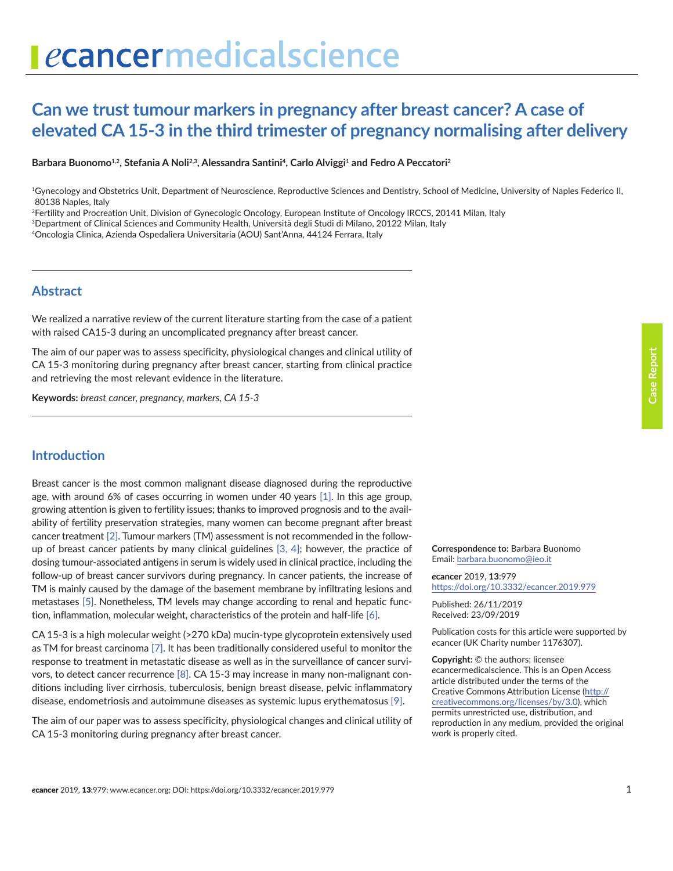# ecancermedicalscience

# **Can we trust tumour markers in pregnancy after breast cancer? A case of elevated CA 15-3 in the third trimester of pregnancy normalising after delivery**

#### Barbara Buonomo<sup>1,2</sup>, Stefania A Noli<sup>2,3</sup>, Alessandra Santini<sup>4</sup>, Carlo Alviggi<sup>1</sup> and Fedro A Peccatori<sup>2</sup>

1Gynecology and Obstetrics Unit, Department of Neuroscience, Reproductive Sciences and Dentistry, School of Medicine, University of Naples Federico II, 80138 Naples, Italy

2Fertility and Procreation Unit, Division of Gynecologic Oncology, European Institute of Oncology IRCCS, 20141 Milan, Italy

3Department of Clinical Sciences and Community Health, Università degli Studi di Milano, 20122 Milan, Italy

4Oncologia Clinica, Azienda Ospedaliera Universitaria (AOU) Sant'Anna, 44124 Ferrara, Italy

### **Abstract**

We realized a narrative review of the current literature starting from the case of a patient with raised CA15-3 during an uncomplicated pregnancy after breast cancer.

The aim of our paper was to assess specificity, physiological changes and clinical utility of CA 15-3 monitoring during pregnancy after breast cancer, starting from clinical practice and retrieving the most relevant evidence in the literature.

**Keywords:** *breast cancer, pregnancy, markers, CA 15-3*

# **Introduction**

Breast cancer is the most common malignant disease diagnosed during the reproductive age, with around 6% of cases occurring in women under 40 years [\[1\]](#page-5-0). In this age group, growing attention is given to fertility issues; thanks to improved prognosis and to the availability of fertility preservation strategies, many women can become pregnant after breast cancer treatment [\[2\]](#page-5-0). Tumour markers (TM) assessment is not recommended in the followup of breast cancer patients by many clinical guidelines [\[3, 4\];](#page-5-0) however, the practice of dosing tumour-associated antigens in serum is widely used in clinical practice, including the follow-up of breast cancer survivors during pregnancy. In cancer patients, the increase of TM is mainly caused by the damage of the basement membrane by infiltrating lesions and metastases [\[5\]](#page-5-0). Nonetheless, TM levels may change according to renal and hepatic function, inflammation, molecular weight, characteristics of the protein and half-life [\[6\].](#page-5-0)

CA 15-3 is a high molecular weight (>270 kDa) mucin-type glycoprotein extensively used as TM for breast carcinoma [\[7\]](#page-5-0). It has been traditionally considered useful to monitor the response to treatment in metastatic disease as well as in the surveillance of cancer survivors, to detect cancer recurrence [\[8\].](#page-5-0) CA 15-3 may increase in many non-malignant conditions including liver cirrhosis, tuberculosis, benign breast disease, pelvic inflammatory disease, endometriosis and autoimmune diseases as systemic lupus erythematosus [\[9\]](#page-5-0).

The aim of our paper was to assess specificity, physiological changes and clinical utility of CA 15-3 monitoring during pregnancy after breast cancer.

**Correspondence to:** Barbara Buonomo Email: barbara.buonomo@ieo.it

*e***cancer** 2019, **13**:979 [https://doi.org/10.3332/ecancer.2019.9](https://doi.org/10.3332/ecancer.2019.979)79

Published: 26/11/2019 Received: 23/09/2019

Publication costs for this article were supported by *e*cancer (UK Charity number 1176307).

**Copyright:** © the authors; licensee *e*cancermedicalscience. This is an Open Access article distributed under the terms of the Creative Commons Attribution License [\(http://](http://creativecommons.org/licenses/by/3.0) [creativecommons.org/licenses/by/3.0\)](http://creativecommons.org/licenses/by/3.0), which permits unrestricted use, distribution, and reproduction in any medium, provided the original work is properly cited.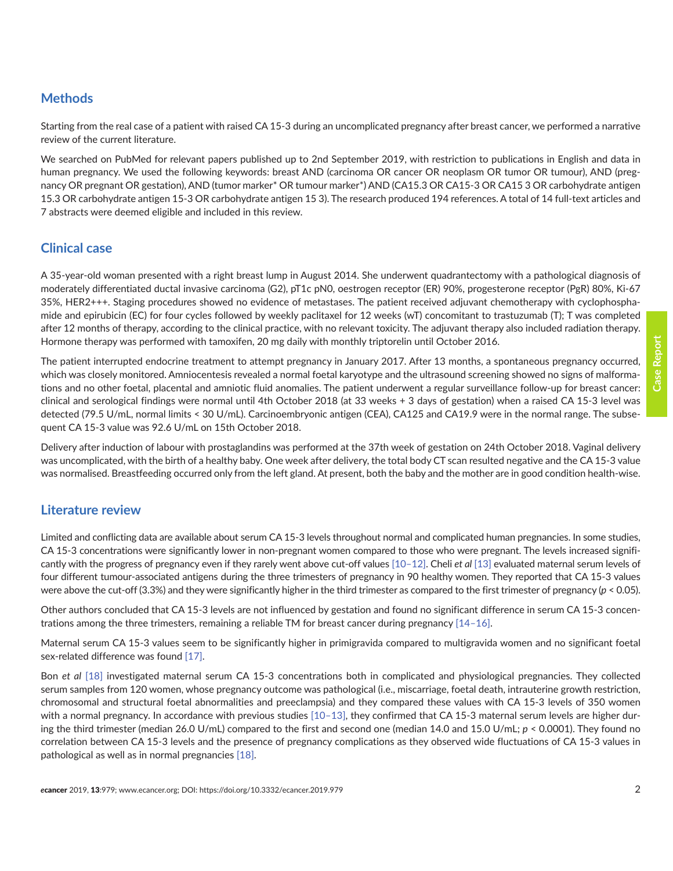# **Methods**

Starting from the real case of a patient with raised CA 15-3 during an uncomplicated pregnancy after breast cancer, we performed a narrative review of the current literature.

We searched on PubMed for relevant papers published up to 2nd September 2019, with restriction to publications in English and data in human pregnancy. We used the following keywords: breast AND (carcinoma OR cancer OR neoplasm OR tumor OR tumour), AND (pregnancy OR pregnant OR gestation), AND (tumor marker\* OR tumour marker\*) AND (CA15.3 OR CA15-3 OR CA15 3 OR carbohydrate antigen 15.3 OR carbohydrate antigen 15-3 OR carbohydrate antigen 15 3). The research produced 194 references. A total of 14 full-text articles and 7 abstracts were deemed eligible and included in this review.

# **Clinical case**

A 35-year-old woman presented with a right breast lump in August 2014. She underwent quadrantectomy with a pathological diagnosis of moderately differentiated ductal invasive carcinoma (G2), pT1c pN0, oestrogen receptor (ER) 90%, progesterone receptor (PgR) 80%, Ki-67 35%, HER2+++. Staging procedures showed no evidence of metastases. The patient received adjuvant chemotherapy with cyclophosphamide and epirubicin (EC) for four cycles followed by weekly paclitaxel for 12 weeks (wT) concomitant to trastuzumab (T); T was completed after 12 months of therapy, according to the clinical practice, with no relevant toxicity. The adjuvant therapy also included radiation therapy. Hormone therapy was performed with tamoxifen, 20 mg daily with monthly triptorelin until October 2016.

The patient interrupted endocrine treatment to attempt pregnancy in January 2017. After 13 months, a spontaneous pregnancy occurred, which was closely monitored. Amniocentesis revealed a normal foetal karyotype and the ultrasound screening showed no signs of malformations and no other foetal, placental and amniotic fluid anomalies. The patient underwent a regular surveillance follow-up for breast cancer: clinical and serological findings were normal until 4th October 2018 (at 33 weeks + 3 days of gestation) when a raised CA 15-3 level was detected (79.5 U/mL, normal limits < 30 U/mL). Carcinoembryonic antigen (CEA), CA125 and CA19.9 were in the normal range. The subsequent CA 15-3 value was 92.6 U/mL on 15th October 2018.

Delivery after induction of labour with prostaglandins was performed at the 37th week of gestation on 24th October 2018. Vaginal delivery was uncomplicated, with the birth of a healthy baby. One week after delivery, the total body CT scan resulted negative and the CA 15-3 value was normalised. Breastfeeding occurred only from the left gland. At present, both the baby and the mother are in good condition health-wise.

# **Literature review**

Limited and conflicting data are available about serum CA 15-3 levels throughout normal and complicated human pregnancies. In some studies, CA 15-3 concentrations were significantly lower in non-pregnant women compared to those who were pregnant. The levels increased significantly with the progress of pregnancy even if they rarely went above cut-off values [\[10–12\].](#page-5-0) Cheli *et al* [\[13\]](#page-5-0) evaluated maternal serum levels of four different tumour-associated antigens during the three trimesters of pregnancy in 90 healthy women. They reported that CA 15-3 values were above the cut-off (3.3%) and they were significantly higher in the third trimester as compared to the first trimester of pregnancy (*p* < 0.05).

Other authors concluded that CA 15-3 levels are not influenced by gestation and found no significant difference in serum CA 15-3 concentrations among the three trimesters, remaining a reliable TM for breast cancer during pregnancy [\[14–16\]](#page-5-0).

Maternal serum CA 15-3 values seem to be significantly higher in primigravida compared to multigravida women and no significant foetal sex-related difference was found [\[17\]](#page-5-0).

Bon *et al* [\[18\]](#page-6-0) investigated maternal serum CA 15-3 concentrations both in complicated and physiological pregnancies. They collected serum samples from 120 women, whose pregnancy outcome was pathological (i.e., miscarriage, foetal death, intrauterine growth restriction, chromosomal and structural foetal abnormalities and preeclampsia) and they compared these values with CA 15-3 levels of 350 women with a normal pregnancy. In accordance with previous studies [10-13], they confirmed that CA 15-3 maternal serum levels are higher during the third trimester (median 26.0 U/mL) compared to the first and second one (median 14.0 and 15.0 U/mL; *p* < 0.0001). They found no correlation between CA 15-3 levels and the presence of pregnancy complications as they observed wide fluctuations of CA 15-3 values in pathological as well as in normal pregnancies [\[18\]](#page-6-0).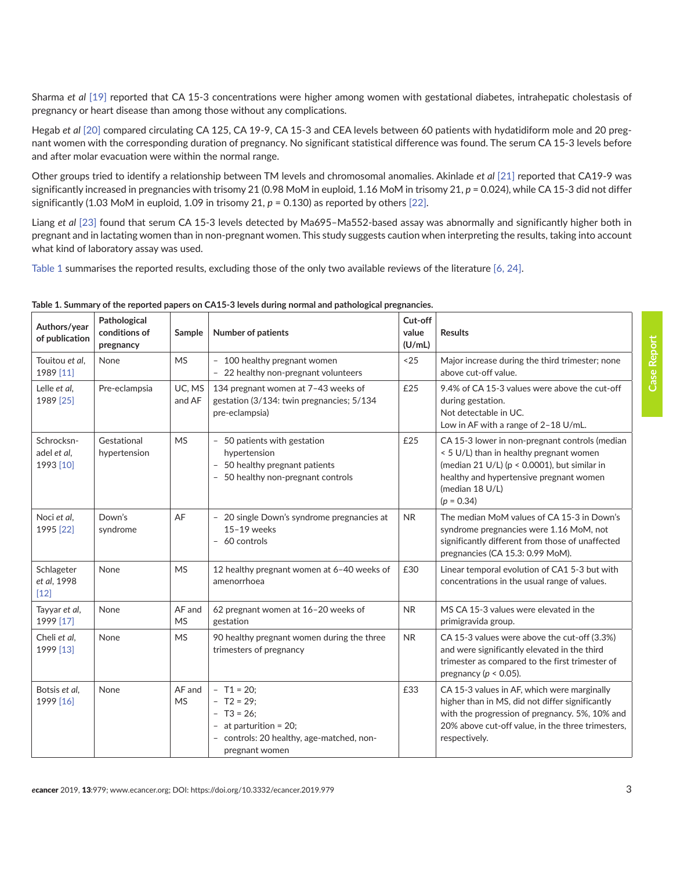Sharma *et al* [\[19\]](#page-6-0) reported that CA 15-3 concentrations were higher among women with gestational diabetes, intrahepatic cholestasis of pregnancy or heart disease than among those without any complications.

Hegab *et al* [\[20\]](#page-6-0) compared circulating CA 125, CA 19-9, CA 15-3 and CEA levels between 60 patients with hydatidiform mole and 20 pregnant women with the corresponding duration of pregnancy. No significant statistical difference was found. The serum CA 15-3 levels before and after molar evacuation were within the normal range.

Other groups tried to identify a relationship between TM levels and chromosomal anomalies. Akinlade *et al* [\[21\]](#page-6-0) reported that CA19-9 was significantly increased in pregnancies with trisomy 21 (0.98 MoM in euploid, 1.16 MoM in trisomy 21, *p* = 0.024), while CA 15-3 did not differ significantly (1.03 MoM in euploid, 1.09 in trisomy 21, *p* = 0.130) as reported by others [\[22\]](#page-6-0).

Liang *et al* [\[23\]](#page-6-0) found that serum CA 15-3 levels detected by Ma695–Ma552-based assay was abnormally and significantly higher both in pregnant and in lactating women than in non-pregnant women. This study suggests caution when interpreting the results, taking into account what kind of laboratory assay was used.

Table 1 summarises the reported results, excluding those of the only two available reviews of the literature [\[6,](#page-5-0) [24\].](#page-6-0)

| Authors/year<br>of publication         | Pathological<br>conditions of<br>pregnancy | Sample              | <b>Number of patients</b>                                                                                                                                                | Cut-off<br>value<br>(U/mL) | <b>Results</b>                                                                                                                                                                                                              |
|----------------------------------------|--------------------------------------------|---------------------|--------------------------------------------------------------------------------------------------------------------------------------------------------------------------|----------------------------|-----------------------------------------------------------------------------------------------------------------------------------------------------------------------------------------------------------------------------|
| Touitou et al,<br>1989 [11]            | None                                       | <b>MS</b>           | - 100 healthy pregnant women<br>22 healthy non-pregnant volunteers                                                                                                       | $25$                       | Major increase during the third trimester; none<br>above cut-off value.                                                                                                                                                     |
| Lelle et al,<br>1989 [25]              | Pre-eclampsia                              | UC, MS<br>and AF    | 134 pregnant women at 7-43 weeks of<br>gestation (3/134: twin pregnancies; 5/134<br>pre-eclampsia)                                                                       | £25                        | 9.4% of CA 15-3 values were above the cut-off<br>during gestation.<br>Not detectable in UC.<br>Low in AF with a range of 2-18 U/mL.                                                                                         |
| Schrocksn-<br>adel et al,<br>1993 [10] | Gestational<br>hypertension                | <b>MS</b>           | - 50 patients with gestation<br>hypertension<br>50 healthy pregnant patients<br>$\overline{\phantom{a}}$<br>50 healthy non-pregnant controls<br>$\overline{\phantom{a}}$ | £25                        | CA 15-3 lower in non-pregnant controls (median<br>< 5 U/L) than in healthy pregnant women<br>(median 21 U/L) ( $p < 0.0001$ ), but similar in<br>healthy and hypertensive pregnant women<br>(median 18 U/L)<br>$(p = 0.34)$ |
| Noci et al.<br>1995 [22]               | Down's<br>syndrome                         | AF                  | - 20 single Down's syndrome pregnancies at<br>$15-19$ weeks<br>- 60 controls                                                                                             | <b>NR</b>                  | The median MoM values of CA 15-3 in Down's<br>syndrome pregnancies were 1.16 MoM, not<br>significantly different from those of unaffected<br>pregnancies (CA 15.3: 0.99 MoM).                                               |
| Schlageter<br>et al, 1998<br>$[12]$    | None                                       | <b>MS</b>           | 12 healthy pregnant women at 6-40 weeks of<br>amenorrhoea                                                                                                                | £30                        | Linear temporal evolution of CA1 5-3 but with<br>concentrations in the usual range of values.                                                                                                                               |
| Tayyar et al,<br>1999 [17]             | None                                       | AF and<br><b>MS</b> | 62 pregnant women at 16-20 weeks of<br>gestation                                                                                                                         | <b>NR</b>                  | MS CA 15-3 values were elevated in the<br>primigravida group.                                                                                                                                                               |
| Cheli et al,<br>1999 [13]              | None                                       | <b>MS</b>           | 90 healthy pregnant women during the three<br>trimesters of pregnancy                                                                                                    | <b>NR</b>                  | CA 15-3 values were above the cut-off (3.3%)<br>and were significantly elevated in the third<br>trimester as compared to the first trimester of<br>pregnancy ( $p < 0.05$ ).                                                |
| Botsis et al.<br>1999 [16]             | None                                       | AF and<br><b>MS</b> | $- T1 = 20;$<br>$- T2 = 29;$<br>$- T3 = 26$ ;<br>at parturition = 20;<br>controls: 20 healthy, age-matched, non-<br>pregnant women                                       | £33                        | CA 15-3 values in AF, which were marginally<br>higher than in MS, did not differ significantly<br>with the progression of pregnancy. 5%, 10% and<br>20% above cut-off value, in the three trimesters,<br>respectively.      |

**Table 1. Summary of the reported papers on CA15-3 levels during normal and pathological pregnancies.**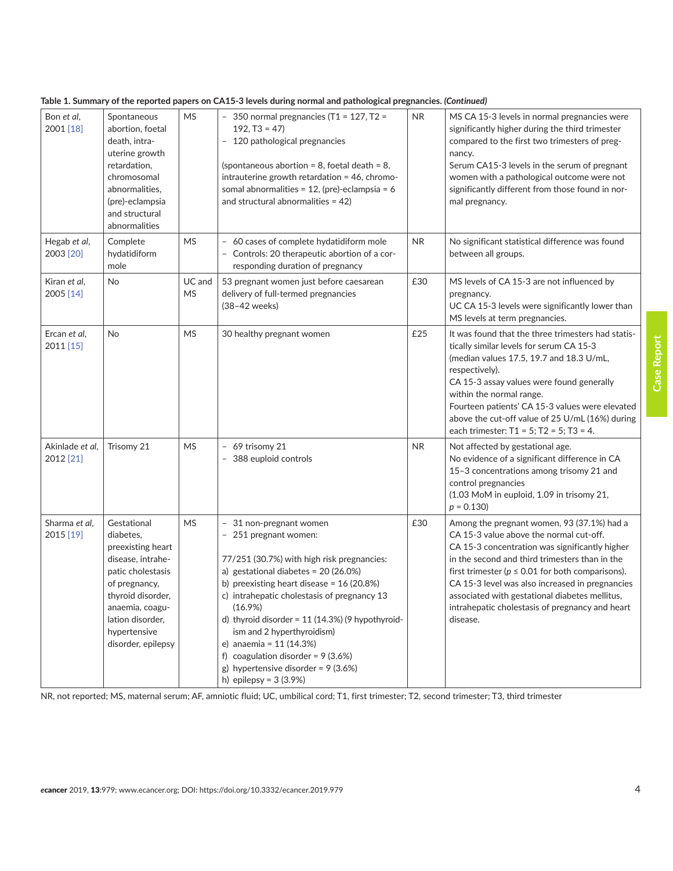|                              |                                                                                                                                                                                                            |                     | none 1. January of the reported papers on extra o levels damig normal and pathological pregnancies. (Commaca/                                                                                                                                                                                                                                                                                                                                                              |           |                                                                                                                                                                                                                                                                                                                                                                                                                        |
|------------------------------|------------------------------------------------------------------------------------------------------------------------------------------------------------------------------------------------------------|---------------------|----------------------------------------------------------------------------------------------------------------------------------------------------------------------------------------------------------------------------------------------------------------------------------------------------------------------------------------------------------------------------------------------------------------------------------------------------------------------------|-----------|------------------------------------------------------------------------------------------------------------------------------------------------------------------------------------------------------------------------------------------------------------------------------------------------------------------------------------------------------------------------------------------------------------------------|
| Bon et al,<br>2001 [18]      | Spontaneous<br>abortion, foetal<br>death, intra-<br>uterine growth<br>retardation,<br>chromosomal<br>abnormalities,<br>(pre)-eclampsia<br>and structural<br>abnormalities                                  | <b>MS</b>           | - 350 normal pregnancies (T1 = 127, T2 =<br>$192, T3 = 47$<br>- 120 pathological pregnancies<br>(spontaneous abortion = 8, foetal death = 8,<br>intrauterine growth retardation = 46, chromo-<br>somal abnormalities = $12$ , (pre)-eclampsia = 6<br>and structural abnormalities = $42$ )                                                                                                                                                                                 | NR.       | MS CA 15-3 levels in normal pregnancies were<br>significantly higher during the third trimester<br>compared to the first two trimesters of preg-<br>nancy.<br>Serum CA15-3 levels in the serum of pregnant<br>women with a pathological outcome were not<br>significantly different from those found in nor-<br>mal pregnancy.                                                                                         |
| Hegab et al,<br>2003 [20]    | Complete<br>hydatidiform<br>mole                                                                                                                                                                           | <b>MS</b>           | - 60 cases of complete hydatidiform mole<br>- Controls: 20 therapeutic abortion of a cor-<br>responding duration of pregnancy                                                                                                                                                                                                                                                                                                                                              | <b>NR</b> | No significant statistical difference was found<br>between all groups.                                                                                                                                                                                                                                                                                                                                                 |
| Kiran et al,<br>2005 [14]    | <b>No</b>                                                                                                                                                                                                  | UC and<br><b>MS</b> | 53 pregnant women just before caesarean<br>delivery of full-termed pregnancies<br>(38-42 weeks)                                                                                                                                                                                                                                                                                                                                                                            | £30       | MS levels of CA 15-3 are not influenced by<br>pregnancy.<br>UC CA 15-3 levels were significantly lower than<br>MS levels at term pregnancies.                                                                                                                                                                                                                                                                          |
| Ercan et al,<br>2011 [15]    | <b>No</b>                                                                                                                                                                                                  | <b>MS</b>           | 30 healthy pregnant women                                                                                                                                                                                                                                                                                                                                                                                                                                                  | £25       | It was found that the three trimesters had statis-<br>tically similar levels for serum CA 15-3<br>(median values 17.5, 19.7 and 18.3 U/mL,<br>respectively).<br>CA 15-3 assay values were found generally<br>within the normal range.<br>Fourteen patients' CA 15-3 values were elevated<br>above the cut-off value of 25 U/mL (16%) during<br>each trimester: $T1 = 5$ ; $T2 = 5$ ; $T3 = 4$ .                        |
| Akinlade et al,<br>2012 [21] | Trisomy 21                                                                                                                                                                                                 | <b>MS</b>           | - 69 trisomy 21<br>388 euploid controls                                                                                                                                                                                                                                                                                                                                                                                                                                    | <b>NR</b> | Not affected by gestational age.<br>No evidence of a significant difference in CA<br>15-3 concentrations among trisomy 21 and<br>control pregnancies<br>(1.03 MoM in euploid, 1.09 in trisomy 21,<br>$p = 0.130$                                                                                                                                                                                                       |
| Sharma et al,<br>2015 [19]   | Gestational<br>diabetes,<br>preexisting heart<br>disease, intrahe-<br>patic cholestasis<br>of pregnancy,<br>thyroid disorder,<br>anaemia, coagu-<br>lation disorder,<br>hypertensive<br>disorder, epilepsy | <b>MS</b>           | - 31 non-pregnant women<br>- 251 pregnant women:<br>77/251 (30.7%) with high risk pregnancies:<br>a) gestational diabetes = $20(26.0%)$<br>b) preexisting heart disease = $16(20.8%)$<br>c) intrahepatic cholestasis of pregnancy 13<br>$(16.9\%)$<br>d) thyroid disorder = $11(14.3%)$ (9 hypothyroid-<br>ism and 2 hyperthyroidism)<br>e) anaemia = 11 (14.3%)<br>f) coagulation disorder = $9(3.6%)$<br>g) hypertensive disorder = $9(3.6%)$<br>h) epilepsy = $3(3.9%)$ | £30       | Among the pregnant women, 93 (37.1%) had a<br>CA 15-3 value above the normal cut-off.<br>CA 15-3 concentration was significantly higher<br>in the second and third trimesters than in the<br>first trimester ( $p \le 0.01$ for both comparisons).<br>CA 15-3 level was also increased in pregnancies<br>associated with gestational diabetes mellitus,<br>intrahepatic cholestasis of pregnancy and heart<br>disease. |

#### **Table 1. Summary of the reported papers on CA15-3 levels during normal and pathological pregnancies.** *(Continued)*

NR, not reported; MS, maternal serum; AF, amniotic fluid; UC, umbilical cord; T1, first trimester; T2, second trimester; T3, third trimester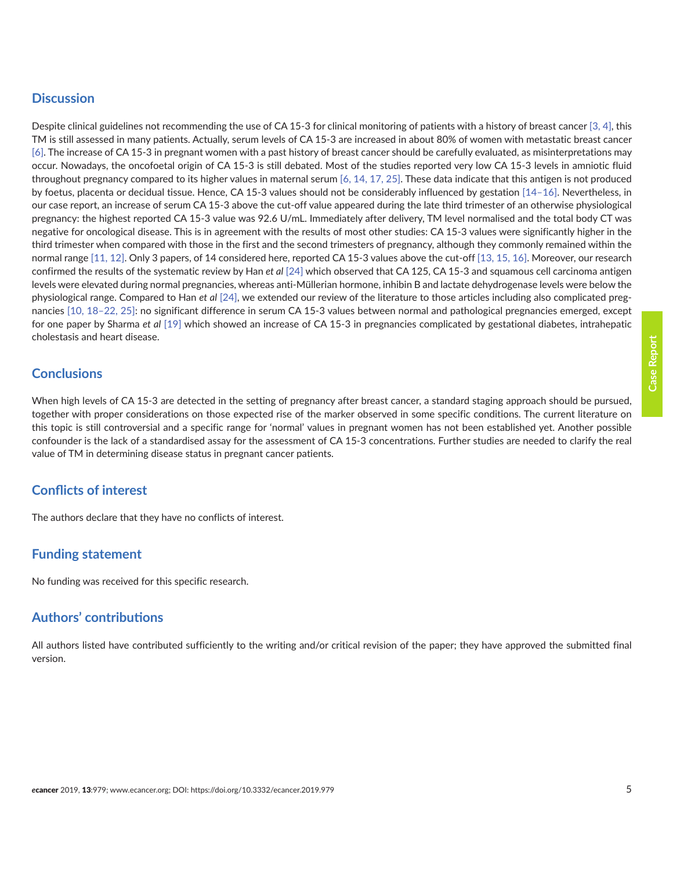# **Discussion**

Despite clinical guidelines not recommending the use of CA 15-3 for clinical monitoring of patients with a history of breast cancer [\[3,](#page-5-0) [4\]](#page-5-0), this TM is still assessed in many patients. Actually, serum levels of CA 15-3 are increased in about 80% of women with metastatic breast cancer [\[6\].](#page-5-0) The increase of CA 15-3 in pregnant women with a past history of breast cancer should be carefully evaluated, as misinterpretations may occur. Nowadays, the oncofoetal origin of CA 15-3 is still debated. Most of the studies reported very low CA 15-3 levels in amniotic fluid throughout pregnancy compared to its higher values in maternal serum  $[6, 14, 17, 25]$  $[6, 14, 17, 25]$  $[6, 14, 17, 25]$  $[6, 14, 17, 25]$ . These data indicate that this antigen is not produced by foetus, placenta or decidual tissue. Hence, CA 15-3 values should not be considerably influenced by gestation [\[14–16\]](#page-5-0). Nevertheless, in our case report, an increase of serum CA 15-3 above the cut-off value appeared during the late third trimester of an otherwise physiological pregnancy: the highest reported CA 15-3 value was 92.6 U/mL. Immediately after delivery, TM level normalised and the total body CT was negative for oncological disease. This is in agreement with the results of most other studies: CA 15-3 values were significantly higher in the third trimester when compared with those in the first and the second trimesters of pregnancy, although they commonly remained within the normal range [\[11, 12\]](#page-5-0). Only 3 papers, of 14 considered here, reported CA 15-3 values above the cut-off [\[13, 15, 16\].](#page-5-0) Moreover, our research confirmed the results of the systematic review by Han *et al* [\[24\]](#page-6-0) which observed that CA 125, CA 15-3 and squamous cell carcinoma antigen levels were elevated during normal pregnancies, whereas anti-Müllerian hormone, inhibin B and lactate dehydrogenase levels were below the physiological range. Compared to Han *et al* [\[24\],](#page-6-0) we extended our review of the literature to those articles including also complicated pregnancies [\[10,](#page-5-0) [18–22,](#page-6-0) [25\]:](#page-6-0) no significant difference in serum CA 15-3 values between normal and pathological pregnancies emerged, except for one paper by Sharma *et al* [\[19\]](#page-6-0) which showed an increase of CA 15-3 in pregnancies complicated by gestational diabetes, intrahepatic cholestasis and heart disease.

# **Conclusions**

When high levels of CA 15-3 are detected in the setting of pregnancy after breast cancer, a standard staging approach should be pursued, together with proper considerations on those expected rise of the marker observed in some specific conditions. The current literature on this topic is still controversial and a specific range for 'normal' values in pregnant women has not been established yet. Another possible confounder is the lack of a standardised assay for the assessment of CA 15-3 concentrations. Further studies are needed to clarify the real value of TM in determining disease status in pregnant cancer patients.

# **Conflicts of interest**

The authors declare that they have no conflicts of interest.

# **Funding statement**

No funding was received for this specific research.

# **Authors' contributions**

All authors listed have contributed sufficiently to the writing and/or critical revision of the paper; they have approved the submitted final version.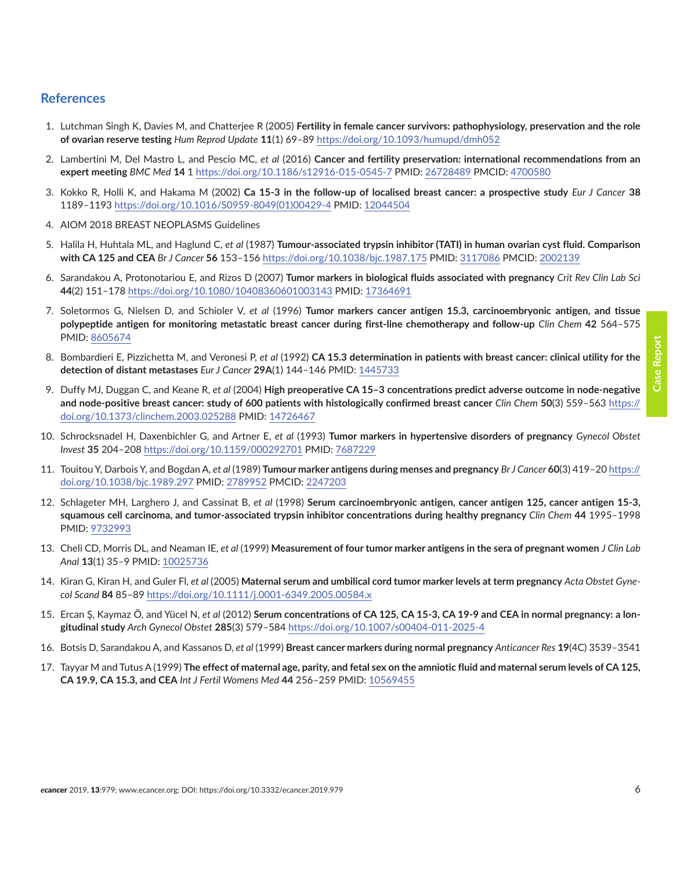## <span id="page-5-0"></span>**References**

- 1. Lutchman Singh K, Davies M, and Chatterjee R (2005) **Fertility in female cancer survivors: pathophysiology, preservation and the role of ovarian reserve testing** *Hum Reprod Update* **11**(1) 69–89 [https://doi.org/10.1093/humupd/dmh052](https://doi.org/10.1093/humupd/dmh052 )
- 2. Lambertini M, Del Mastro L, and Pescio MC, *et al* (2016) **Cancer and fertility preservation: international recommendations from an expert meeting** *BMC Med* **14** 1 [https://doi.org/10.1186/s12916-015-0545-7](https://doi.org/10.1186/s12916-015-0545-7 ) PMID: [26728489](http://www.ncbi.nlm.nih.gov/pubmed/26728489) PMCID: [4700580](http://www.ncbi.nlm.nih.gov/pmc/articles/PMC4700580)
- 3. Kokko R, Holli K, and Hakama M (2002) **Ca 15-3 in the follow-up of localised breast cancer: a prospective study** *Eur J Cancer* **38**  1189–1193 [https://doi.org/10.1016/S0959-8049\(01\)00429-4](https://doi.org/10.1016/S0959-8049(01)00429-4 ) PMID: [12044504](http://www.ncbi.nlm.nih.gov/pubmed/12044504)
- 4. AIOM 2018 BREAST NEOPLASMS Guidelines
- 5. Halila H, Huhtala ML, and Haglund C, *et al* (1987) **Tumour-associated trypsin inhibitor (TATI) in human ovarian cyst fluid. Comparison with CA 125 and CEA** *Br J Cancer* **56** 153–156 [https://doi.org/10.1038/bjc.1987.175](https://doi.org/10.1038/bjc.1987.175 ) PMID: [3117086](http://www.ncbi.nlm.nih.gov/pubmed/3117086) PMCID: [2002139](http://www.ncbi.nlm.nih.gov/pmc/articles/PMC2002139)
- 6. Sarandakou A, Protonotariou E, and Rizos D (2007) **Tumor markers in biological fluids associated with pregnancy** *Crit Rev Clin Lab Sci* **44**(2) 151–178 [https://doi.org/10.1080/10408360601003143](https://doi.org/10.1080/10408360601003143 ) PMID: [17364691](http://www.ncbi.nlm.nih.gov/pubmed/17364691)
- 7. Soletormos G, Nielsen D, and Schioler V, *et al* (1996) **Tumor markers cancer antigen 15.3, carcinoembryonic antigen, and tissue polypeptide antigen for monitoring metastatic breast cancer during first-line chemotherapy and follow-up** *Clin Chem* **42** 564–575 PMID: [8605674](http://www.ncbi.nlm.nih.gov/pubmed/8605674)
- 8. Bombardieri E, Pizzichetta M, and Veronesi P, *et al* (1992) **CA 15.3 determination in patients with breast cancer: clinical utility for the detection of distant metastases** *Eur J Cancer* **29A**(1) 144–146 PMID: [1445733](http://www.ncbi.nlm.nih.gov/pubmed/1445733)
- 9. Duffy MJ, Duggan C, and Keane R, *et al* (2004) **High preoperative CA 15–3 concentrations predict adverse outcome in node-negative and node-positive breast cancer: study of 600 patients with histologically confirmed breast cancer** *Clin Chem* **50**(3) 559–563 [https://](https://doi.org/10.1373/clinchem.2003.025288 ) [doi.org/10.1373/clinchem.2003.025288](https://doi.org/10.1373/clinchem.2003.025288 ) PMID: [14726467](http://www.ncbi.nlm.nih.gov/pubmed/14726467)
- 10. Schrocksnadel H, Daxenbichler G, and Artner E, *et al* (1993) **Tumor markers in hypertensive disorders of pregnancy** *Gynecol Obstet Invest* **35** 204–208 [https://doi.org/10.1159/000292701](https://doi.org/10.1159/000292701 ) PMID: [7687229](http://www.ncbi.nlm.nih.gov/pubmed/7687229)
- 11. Touitou Y, Darbois Y, and Bogdan A, *et al* (1989) **Tumour marker antigens during menses and pregnancy** *Br J Cancer* **60**(3) 419–20 [https://](https://doi.org/10.1038/bjc.1989.297 ) [doi.org/10.1038/bjc.1989.297](https://doi.org/10.1038/bjc.1989.297 ) PMID: [2789952](http://www.ncbi.nlm.nih.gov/pubmed/2789952) PMCID: [2247203](http://www.ncbi.nlm.nih.gov/pmc/articles/PMC2247203)
- 12. Schlageter MH, Larghero J, and Cassinat B, *et al* (1998) **Serum carcinoembryonic antigen, cancer antigen 125, cancer antigen 15-3, squamous cell carcinoma, and tumor-associated trypsin inhibitor concentrations during healthy pregnancy** *Clin Chem* **44** 1995–1998 PMID: [9732993](http://www.ncbi.nlm.nih.gov/pubmed/9732993)
- 13. Cheli CD, Morris DL, and Neaman IE, *et al* (1999) **Measurement of four tumor marker antigens in the sera of pregnant women** *J Clin Lab Anal* **13**(1) 35–9 PMID: [10025736](http://www.ncbi.nlm.nih.gov/pubmed/10025736)
- 14. Kiran G, Kiran H, and Guler Fl, *et al* (2005) **Maternal serum and umbilical cord tumor marker levels at term pregnancy** *Acta Obstet Gynecol Scand* **84** 85–89 [https://doi.org/10.1111/j.0001-6349.2005.00584.x](https://doi.org/10.1111/j.0001-6349.2005.00584.x )
- 15. Ercan Ş, Kaymaz Ö, and Yücel N, *et al* (2012) **Serum concentrations of CA 125, CA 15-3, CA 19-9 and CEA in normal pregnancy: a longitudinal study** *Arch Gynecol Obstet* **285**(3) 579–584 [https://doi.org/10.1007/s00404-011-2025-4](https://doi.org/10.1007/s00404-011-2025-4 )
- 16. Botsis D, Sarandakou A, and Kassanos D, *et al* (1999) **Breast cancer markers during normal pregnancy** *Anticancer Res* **19**(4C) 3539–3541
- 17. Tayyar M and Tutus A (1999) **The effect of maternal age, parity, and fetal sex on the amniotic fluid and maternal serum levels of CA 125, CA 19.9, CA 15.3, and CEA** *Int J Fertil Womens Med* **44** 256–259 PMID: [10569455](http://www.ncbi.nlm.nih.gov/pubmed/10569455)